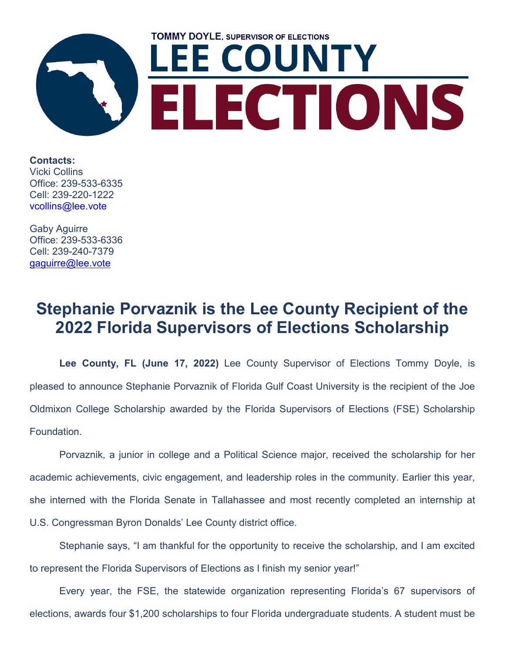

**Contacts:** Vicki Collins Office: 239-533-6335 Cell: 239-220-1222 [vcollins@lee.vote](mailto:vcollins@lee.vote)

Gaby Aguirre Office: 239-533-6336 Cell: 239-240-7379 [gaguirre@lee.vote](mailto:gaguirre@lee.vote)

## **Stephanie Porvaznik is the Lee County Recipient of the 2022 Florida Supervisors of Elections Scholarship**

**Lee County, FL (June 17, 2022)** Lee County Supervisor of Elections Tommy Doyle, is pleased to announce Stephanie Porvaznik of Florida Gulf Coast University is the recipient of the Joe Oldmixon College Scholarship awarded by the Florida Supervisors of Elections (FSE) Scholarship Foundation.

Porvaznik, a junior in college and a Political Science major, received the scholarship for her academic achievements, civic engagement, and leadership roles in the community. Earlier this year, she interned with the Florida Senate in Tallahassee and most recently completed an internship at U.S. Congressman Byron Donalds' Lee County district office.

Stephanie says, "I am thankful for the opportunity to receive the scholarship, and I am excited to represent the Florida Supervisors of Elections as I finish my senior year!"

Every year, the FSE, the statewide organization representing Florida's 67 supervisors of elections, awards four \$1,200 scholarships to four Florida undergraduate students. A student must be